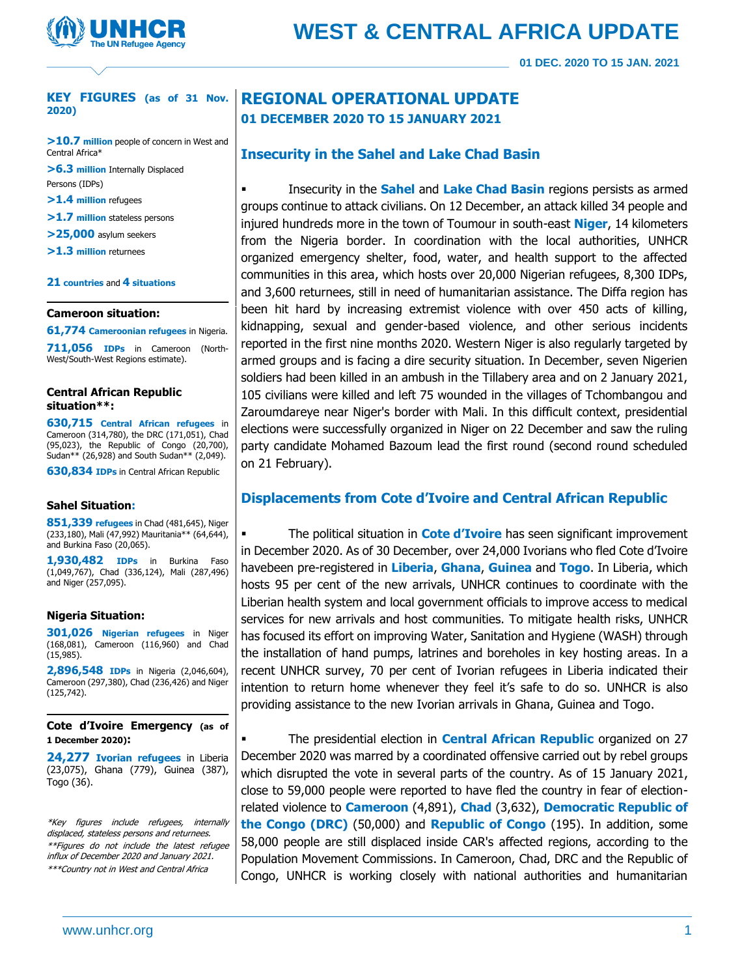

### **KEY FIGURES (as of 31 Nov. 2020)**

**>10.7 million** people of concern in West and Central Africa\*

**>6.3 million** Internally Displaced Persons (IDPs)

**>1.4 million** refugees

- **>1.7 million** stateless persons
- **>25,000** asylum seekers
- **>1.3 million** returnees

#### **21 countries** and **4 situations**

#### **Cameroon situation:**

**61,774 Cameroonian refugees** in Nigeria.

**711,056 IDPs** in Cameroon (North-West/South-West Regions estimate).

#### **Central African Republic situation\*\*:**

**630,715 Central African refugees** in Cameroon (314,780), the DRC (171,051), Chad (95,023), the Republic of Congo (20,700), Sudan\*\* (26,928) and South Sudan\*\* (2,049).

**630,834 IDPs** in Central African Republic

#### **Sahel Situation:**

**851,339 refugees** in Chad (481,645), Niger (233,180), Mali (47,992) Mauritania\*\* (64,644), and Burkina Faso (20,065).

**1,930,482 IDPs** in Burkina Faso (1,049,767), Chad (336,124), Mali (287,496) and Niger (257,095).

#### **Nigeria Situation:**

**301,026 Nigerian refugees** in Niger (168,081), Cameroon (116,960) and Chad (15,985).

**2,896,548 IDPs** in Nigeria (2,046,604), Cameroon (297,380), Chad (236,426) and Niger (125,742).

**Cote d'Ivoire Emergency (as of 1 December 2020):** 

**24,277 Ivorian refugees** in Liberia (23,075), Ghana (779), Guinea (387), Togo (36).

\*Key figures include refugees, internally displaced, stateless persons and returnees. \*\*Figures do not include the latest refugee influx of December 2020 and January 2021. \*\*\*Country not in West and Central Africa

## **REGIONAL OPERATIONAL UPDATE 01 DECEMBER 2020 TO 15 JANUARY 2021**

## **Insecurity in the Sahel and Lake Chad Basin**

Insecurity in the **Sahel** and **Lake Chad Basin** regions persists as armed groups continue to attack civilians. On 12 December, an attack killed 34 people and injured hundreds more in the town of Toumour in south-east **Niger**, 14 kilometers from the Nigeria border. In coordination with the local authorities, UNHCR organized emergency shelter, food, water, and health support to the affected communities in this area, which hosts over 20,000 Nigerian refugees, 8,300 IDPs, and 3,600 returnees, still in need of humanitarian assistance. The Diffa region has been hit hard by increasing extremist violence with over 450 acts of killing, kidnapping, sexual and gender-based violence, and other serious incidents reported in the first nine months 2020. Western Niger is also regularly targeted by armed groups and is facing a dire security situation. In December, seven Nigerien soldiers had been killed in an ambush in the Tillabery area and on 2 January 2021, 105 civilians were killed and left 75 wounded in the villages of Tchombangou and Zaroumdareye near Niger's border with Mali. In this difficult context, presidential elections were successfully organized in Niger on 22 December and saw the ruling party candidate Mohamed Bazoum lead the first round (second round scheduled on 21 February).

## **Displacements from Cote d'Ivoire and Central African Republic**

**The political situation in Cote d'Ivoire** has seen significant improvement in December 2020. As of 30 December, over 24,000 Ivorians who fled Cote d'Ivoire havebeen pre-registered in **Liberia**, **Ghana**, **Guinea** and **Togo**. In Liberia, which hosts 95 per cent of the new arrivals, UNHCR continues to coordinate with the Liberian health system and local government officials to improve access to medical services for new arrivals and host communities. To mitigate health risks, UNHCR has focused its effort on improving Water, Sanitation and Hygiene (WASH) through the installation of hand pumps, latrines and boreholes in key hosting areas. In a recent UNHCR survey, 70 per cent of Ivorian refugees in Liberia indicated their intention to return home whenever they feel it's safe to do so. UNHCR is also providing assistance to the new Ivorian arrivals in Ghana, Guinea and Togo.

The presidential election in **Central African Republic** organized on 27 December 2020 was marred by a coordinated offensive carried out by rebel groups which disrupted the vote in several parts of the country. As of 15 January 2021, close to 59,000 people were reported to have fled the country in fear of electionrelated violence to **Cameroon** (4,891), **Chad** (3,632), **Democratic Republic of the Congo (DRC)** (50,000) and **Republic of Congo** (195). In addition, some 58,000 people are still displaced inside CAR's affected regions, according to the Population Movement Commissions. In Cameroon, Chad, DRC and the Republic of Congo, UNHCR is working closely with national authorities and humanitarian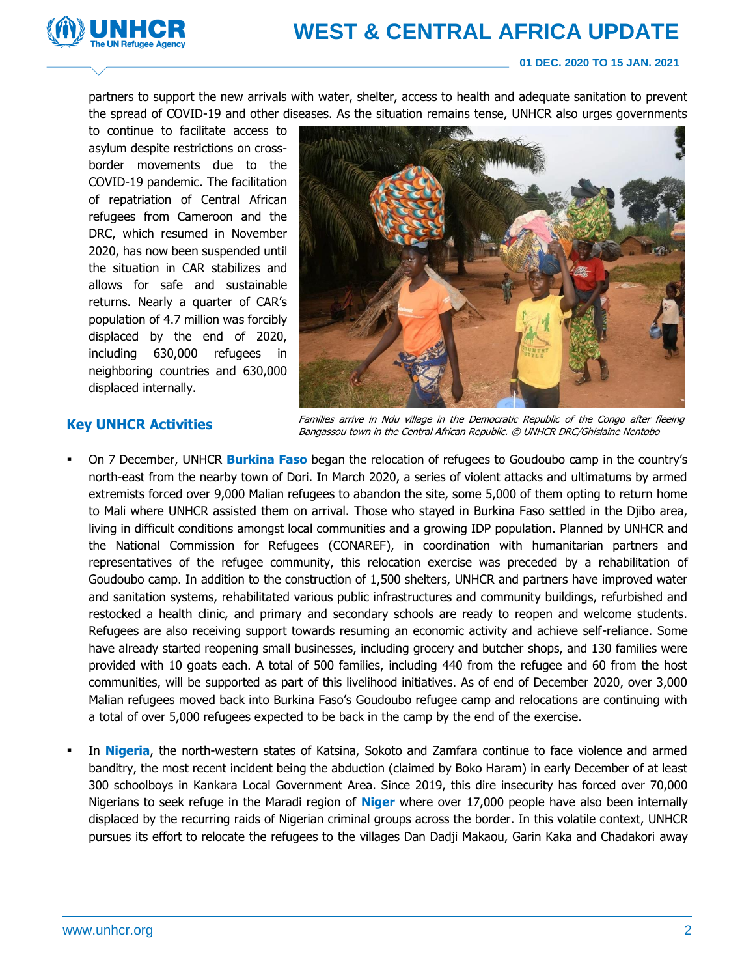# **WEST & CENTRAL AFRICA UPDATE**



## **01 DEC. 2020 TO 15 JAN. 2021**

partners to support the new arrivals with water, shelter, access to health and adequate sanitation to prevent the spread of COVID-19 and other diseases. As the situation remains tense, UNHCR also urges governments

to continue to facilitate access to asylum despite restrictions on crossborder movements due to the COVID-19 pandemic. The facilitation of repatriation of Central African refugees from Cameroon and the DRC, which resumed in November 2020, has now been suspended until the situation in CAR stabilizes and allows for safe and sustainable returns. Nearly a quarter of CAR's population of 4.7 million was forcibly displaced by the end of 2020, including 630,000 refugees in neighboring countries and 630,000 displaced internally.



## **Key UNHCR Activities**

Families arrive in Ndu village in the Democratic Republic of the Congo after fleeing Bangassou town in the Central African Republic. © UNHCR DRC/Ghislaine Nentobo

- On 7 December, UNHCR **Burkina Faso** began the relocation of refugees to Goudoubo camp in the country's north-east from the nearby town of Dori. In March 2020, a series of violent attacks and ultimatums by armed extremists forced over 9,000 Malian refugees to abandon the site, some 5,000 of them opting to return home to Mali where UNHCR assisted them on arrival. Those who stayed in Burkina Faso settled in the Djibo area, living in difficult conditions amongst local communities and a growing IDP population. Planned by UNHCR and the National Commission for Refugees (CONAREF), in coordination with humanitarian partners and representatives of the refugee community, this relocation exercise was preceded by a rehabilitation of Goudoubo camp. In addition to the construction of 1,500 shelters, UNHCR and partners have improved water and sanitation systems, rehabilitated various public infrastructures and community buildings, refurbished and restocked a health clinic, and primary and secondary schools are ready to reopen and welcome students. Refugees are also receiving support towards resuming an economic activity and achieve self-reliance. Some have already started reopening small businesses, including grocery and butcher shops, and 130 families were provided with 10 goats each. A total of 500 families, including 440 from the refugee and 60 from the host communities, will be supported as part of this livelihood initiatives. As of end of December 2020, over 3,000 Malian refugees moved back into Burkina Faso's Goudoubo refugee camp and relocations are continuing with a total of over 5,000 refugees expected to be back in the camp by the end of the exercise.
- In **Nigeria**, the north-western states of Katsina, Sokoto and Zamfara continue to face violence and armed banditry, the most recent incident being the abduction (claimed by Boko Haram) in early December of at least 300 schoolboys in Kankara Local Government Area. Since 2019, this dire insecurity has forced over 70,000 Nigerians to seek refuge in the Maradi region of **Niger** where over 17,000 people have also been internally displaced by the recurring raids of Nigerian criminal groups across the border. In this volatile context, UNHCR pursues its effort to relocate the refugees to the villages Dan Dadji Makaou, Garin Kaka and Chadakori away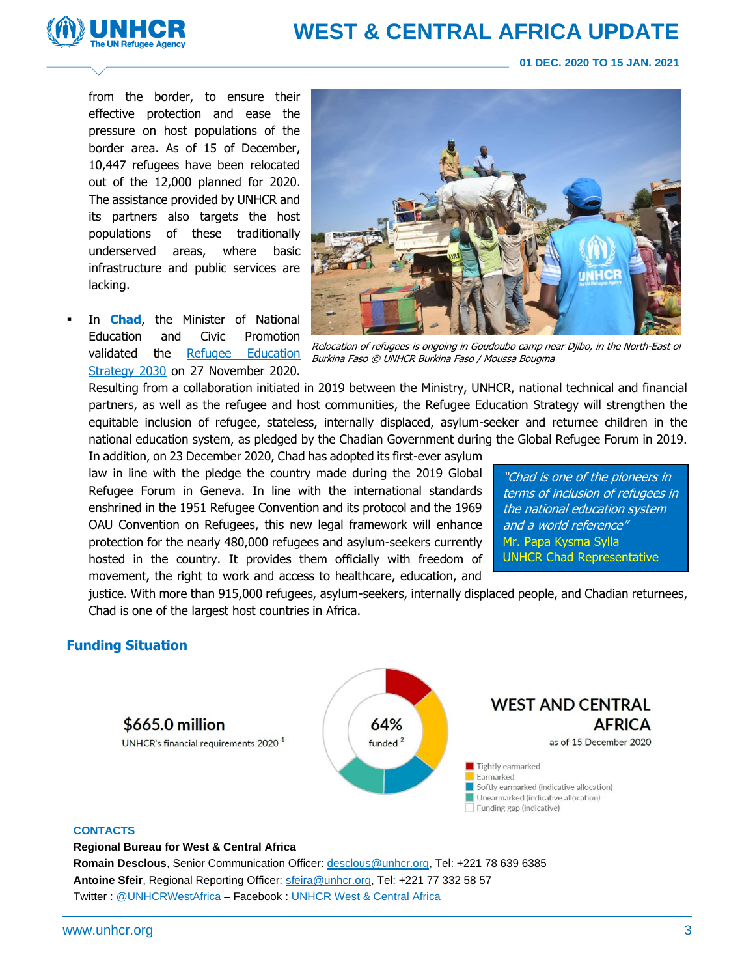

## **WEST & CENTRAL AFRICA UPDATE**

**01 DEC. 2020 TO 15 JAN. 2021**

from the border, to ensure their effective protection and ease the pressure on host populations of the border area. As of 15 of December, 10,447 refugees have been relocated out of the 12,000 planned for 2020. The assistance provided by UNHCR and its partners also targets the host populations of these traditionally underserved areas, where basic infrastructure and public services are lacking.

In **Chad**, the Minister of National Education and Civic Promotion validated the [Refugee Education](https://data2.unhcr.org/en/documents/details/83328)  [Strategy 2030](https://data2.unhcr.org/en/documents/details/83328) on 27 November 2020.



Relocation of refugees is ongoing in Goudoubo camp near Djibo, in the North-East of Burkina Faso © UNHCR Burkina Faso / Moussa Bougma

Resulting from a collaboration initiated in 2019 between the Ministry, UNHCR, national technical and financial partners, as well as the refugee and host communities, the Refugee Education Strategy will strengthen the equitable inclusion of refugee, stateless, internally displaced, asylum-seeker and returnee children in the national education system, as pledged by the Chadian Government during the Global Refugee Forum in 2019.

In addition, on 23 December 2020, Chad has adopted its first-ever asylum law in line with the pledge the country made during the 2019 Global Refugee Forum in Geneva. In line with the international standards enshrined in the 1951 Refugee Convention and its protocol and the 1969 OAU Convention on Refugees, this new legal framework will enhance protection for the nearly 480,000 refugees and asylum-seekers currently hosted in the country. It provides them officially with freedom of movement, the right to work and access to healthcare, education, and

"Chad is one of the pioneers in terms of inclusion of refugees in the national education system and a world reference" Mr. Papa Kysma Sylla UNHCR Chad Representative

justice. With more than 915,000 refugees, asylum-seekers, internally displaced people, and Chadian returnees, Chad is one of the largest host countries in Africa.

## **Funding Situation**



## **CONTACTS**

**Regional Bureau for West & Central Africa**

**Romain Desclous**, Senior Communication Officer: desclous@unhcr.org, Tel: +221 78 639 6385 Antoine Sfeir, Regional Reporting Officer[: sfeira@unhcr.org,](mailto:sfeira@unhcr.org) Tel: +221 77 332 58 57 Twitter : @UNHCRWestAfrica – Facebook : UNHCR West & Central Africa